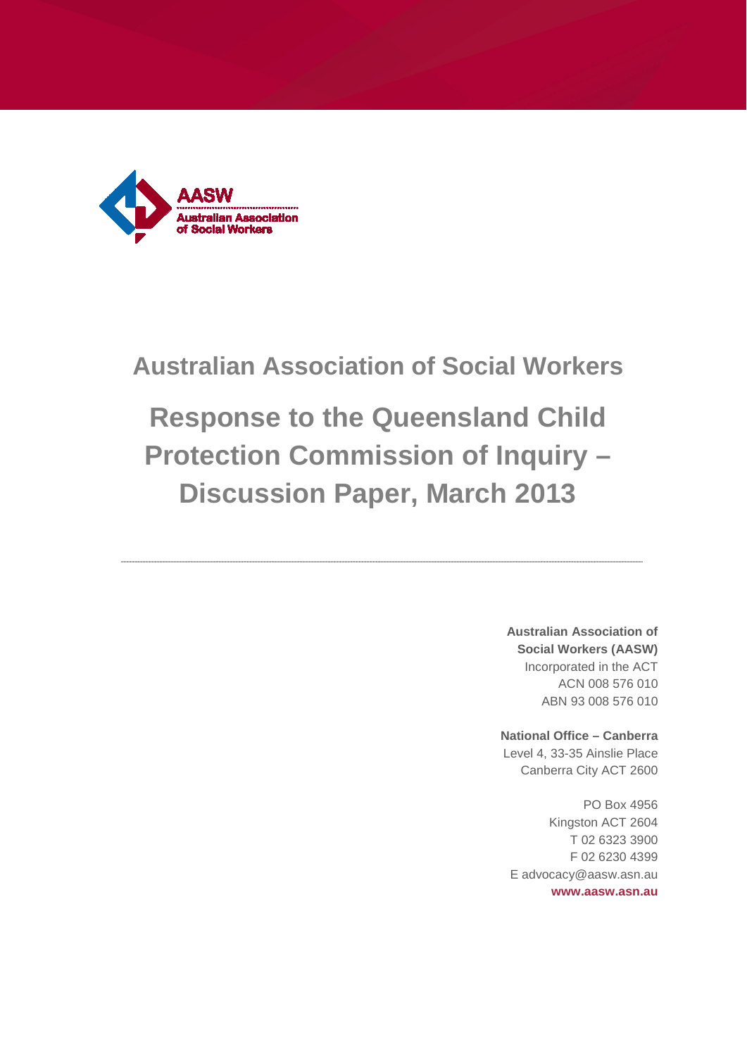

## **Australian Association of Social Workers**

# **Response to the Queensland Child Protection Commission of Inquiry – Discussion Paper, March 2013**

**Australian Association of Social Workers (AASW)** Incorporated in the ACT ACN 008 576 010 ABN 93 008 576 010

**National Office – Canberra** Level 4, 33-35 Ainslie Place Canberra City ACT 2600

PO Box 4956 Kingston ACT 2604 T 02 6323 3900 F 02 6230 4399 E advocacy@aasw.asn.au **www.aasw.asn.au**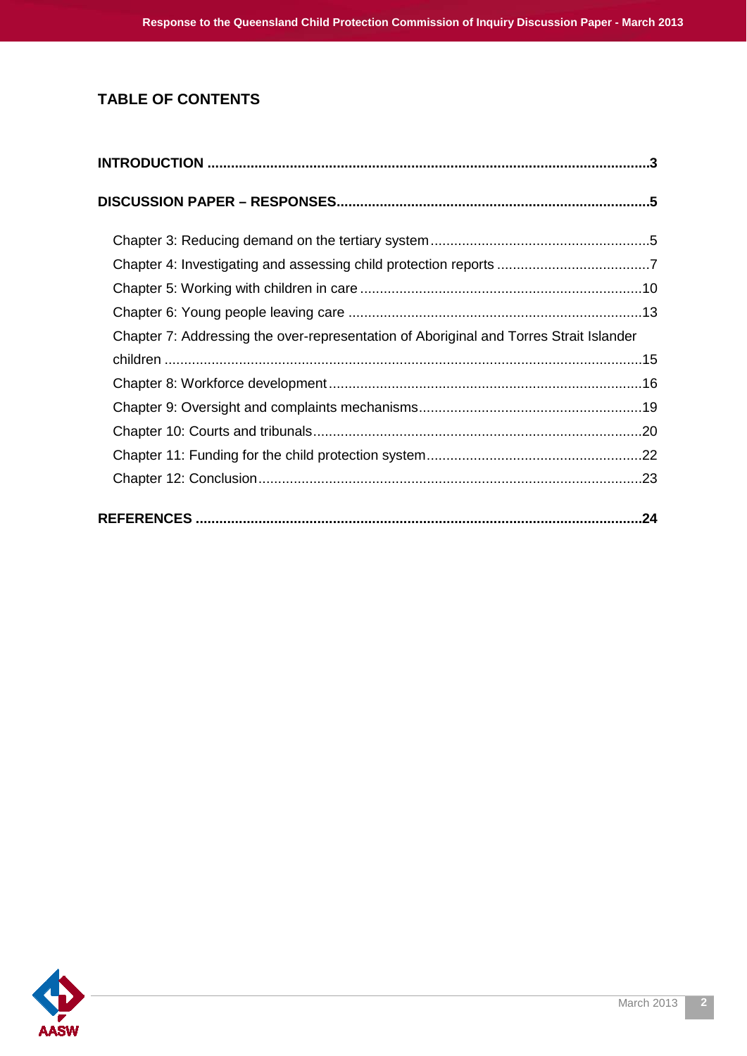## **TABLE OF CONTENTS**

| Chapter 7: Addressing the over-representation of Aboriginal and Torres Strait Islander |  |
|----------------------------------------------------------------------------------------|--|
|                                                                                        |  |
|                                                                                        |  |
|                                                                                        |  |
|                                                                                        |  |
|                                                                                        |  |
|                                                                                        |  |
|                                                                                        |  |
|                                                                                        |  |

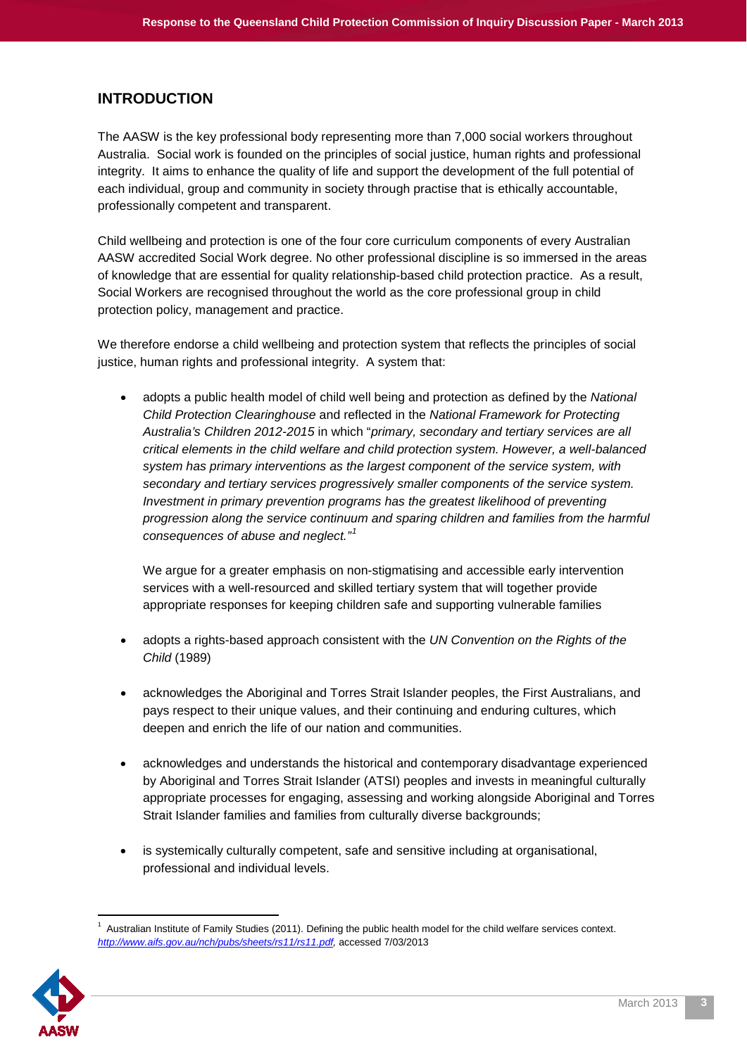#### <span id="page-2-0"></span>**INTRODUCTION**

The AASW is the key professional body representing more than 7,000 social workers throughout Australia. Social work is founded on the principles of social justice, human rights and professional integrity. It aims to enhance the quality of life and support the development of the full potential of each individual, group and community in society through practise that is ethically accountable, professionally competent and transparent.

Child wellbeing and protection is one of the four core curriculum components of every Australian AASW accredited Social Work degree. No other professional discipline is so immersed in the areas of knowledge that are essential for quality relationship-based child protection practice. As a result, Social Workers are recognised throughout the world as the core professional group in child protection policy, management and practice.

We therefore endorse a child wellbeing and protection system that reflects the principles of social justice, human rights and professional integrity. A system that:

• adopts a public health model of child well being and protection as defined by the *National Child Protection Clearinghouse* and reflected in the *National Framework for Protecting Australia's Children 2012-2015* in which "*primary, secondary and tertiary services are all critical elements in the child welfare and child protection system. However, a well-balanced system has primary interventions as the largest component of the service system, with secondary and tertiary services progressively smaller components of the service system. Investment in primary prevention programs has the greatest likelihood of preventing progression along the service continuum and sparing children and families from the harmful consequences of abuse and neglect."[1](#page-2-1)*

We argue for a greater emphasis on non-stigmatising and accessible early intervention services with a well-resourced and skilled tertiary system that will together provide appropriate responses for keeping children safe and supporting vulnerable families

- adopts a rights-based approach consistent with the *UN Convention on the Rights of the Child* (1989)
- acknowledges the Aboriginal and Torres Strait Islander peoples, the First Australians, and pays respect to their unique values, and their continuing and enduring cultures, which deepen and enrich the life of our nation and communities.
- acknowledges and understands the historical and contemporary disadvantage experienced by Aboriginal and Torres Strait Islander (ATSI) peoples and invests in meaningful culturally appropriate processes for engaging, assessing and working alongside Aboriginal and Torres Strait Islander families and families from culturally diverse backgrounds;
- is systemically culturally competent, safe and sensitive including at organisational, professional and individual levels.

<span id="page-2-1"></span> $\overline{\phantom{a}}$  $1$  Australian Institute of Family Studies (2011). Defining the public health model for the child welfare services context. *[http://www.aifs.gov.au/nch/pubs/sheets/rs11/rs11.pdf,](http://www.aifs.gov.au/nch/pubs/sheets/rs11/rs11.pdf)* accessed 7/03/2013

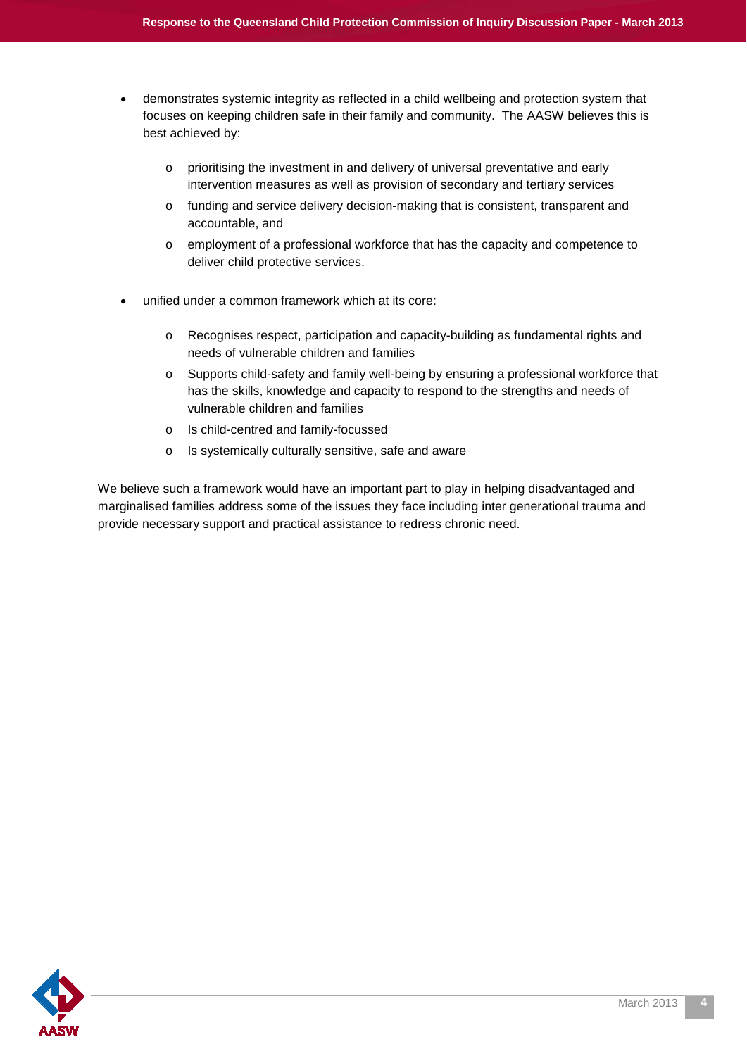- demonstrates systemic integrity as reflected in a child wellbeing and protection system that focuses on keeping children safe in their family and community. The AASW believes this is best achieved by:
	- o prioritising the investment in and delivery of universal preventative and early intervention measures as well as provision of secondary and tertiary services
	- o funding and service delivery decision-making that is consistent, transparent and accountable, and
	- o employment of a professional workforce that has the capacity and competence to deliver child protective services.
- unified under a common framework which at its core:
	- o Recognises respect, participation and capacity-building as fundamental rights and needs of vulnerable children and families
	- o Supports child-safety and family well-being by ensuring a professional workforce that has the skills, knowledge and capacity to respond to the strengths and needs of vulnerable children and families
	- o Is child-centred and family-focussed
	- o Is systemically culturally sensitive, safe and aware

We believe such a framework would have an important part to play in helping disadvantaged and marginalised families address some of the issues they face including inter generational trauma and provide necessary support and practical assistance to redress chronic need.

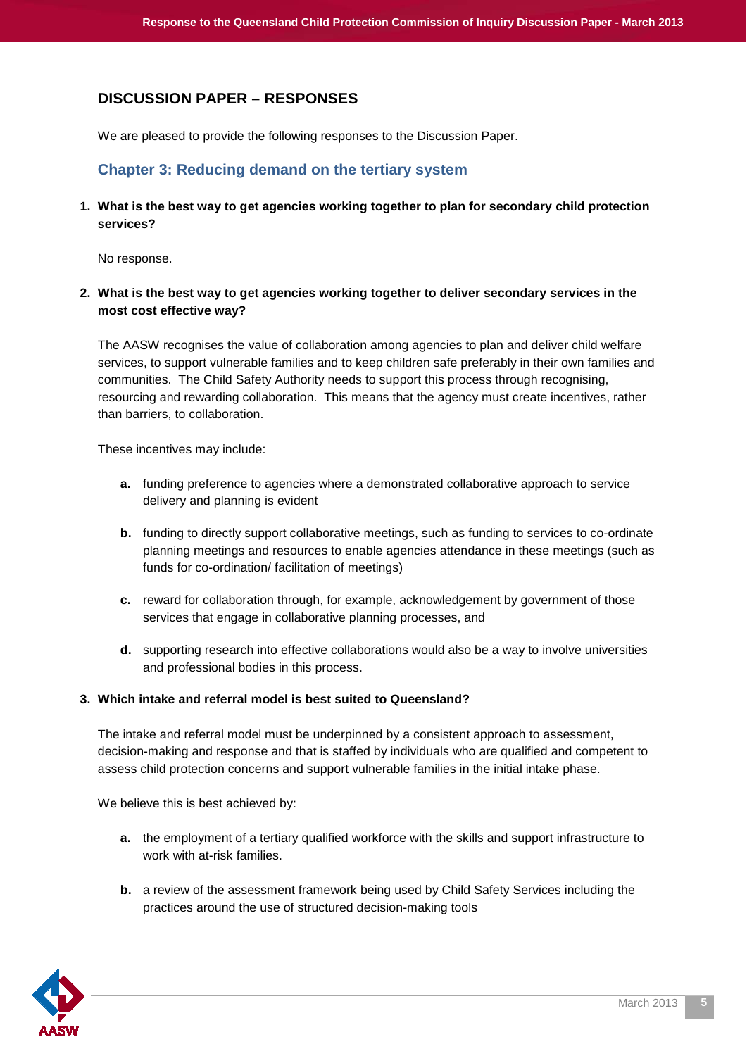## <span id="page-4-0"></span>**DISCUSSION PAPER – RESPONSES**

<span id="page-4-1"></span>We are pleased to provide the following responses to the Discussion Paper.

#### **Chapter 3: Reducing demand on the tertiary system**

**1. What is the best way to get agencies working together to plan for secondary child protection services?**

No response.

**2. What is the best way to get agencies working together to deliver secondary services in the most cost effective way?**

The AASW recognises the value of collaboration among agencies to plan and deliver child welfare services, to support vulnerable families and to keep children safe preferably in their own families and communities. The Child Safety Authority needs to support this process through recognising, resourcing and rewarding collaboration. This means that the agency must create incentives, rather than barriers, to collaboration.

These incentives may include:

- **a.** funding preference to agencies where a demonstrated collaborative approach to service delivery and planning is evident
- **b.** funding to directly support collaborative meetings, such as funding to services to co-ordinate planning meetings and resources to enable agencies attendance in these meetings (such as funds for co-ordination/ facilitation of meetings)
- **c.** reward for collaboration through, for example, acknowledgement by government of those services that engage in collaborative planning processes, and
- **d.** supporting research into effective collaborations would also be a way to involve universities and professional bodies in this process.

#### **3. Which intake and referral model is best suited to Queensland?**

The intake and referral model must be underpinned by a consistent approach to assessment, decision-making and response and that is staffed by individuals who are qualified and competent to assess child protection concerns and support vulnerable families in the initial intake phase.

We believe this is best achieved by:

- **a.** the employment of a tertiary qualified workforce with the skills and support infrastructure to work with at-risk families.
- **b.** a review of the assessment framework being used by Child Safety Services including the practices around the use of structured decision-making tools

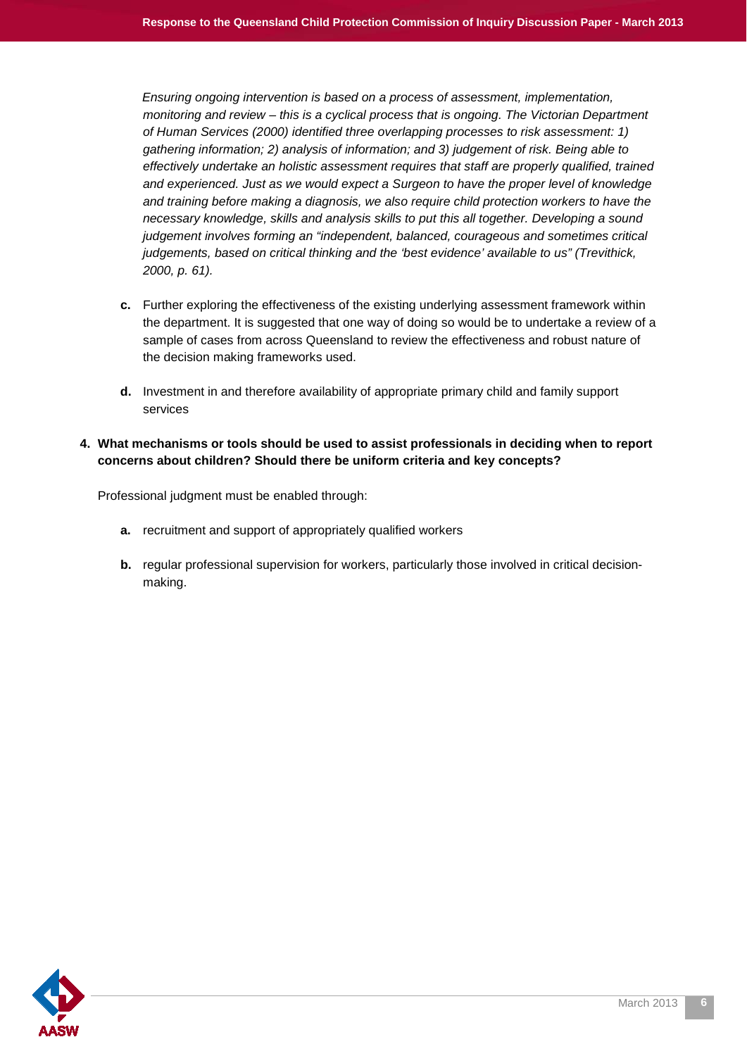*Ensuring ongoing intervention is based on a process of assessment, implementation, monitoring and review – this is a cyclical process that is ongoing. The Victorian Department of Human Services (2000) identified three overlapping processes to risk assessment: 1) gathering information; 2) analysis of information; and 3) judgement of risk. Being able to effectively undertake an holistic assessment requires that staff are properly qualified, trained and experienced. Just as we would expect a Surgeon to have the proper level of knowledge and training before making a diagnosis, we also require child protection workers to have the necessary knowledge, skills and analysis skills to put this all together. Developing a sound judgement involves forming an "independent, balanced, courageous and sometimes critical judgements, based on critical thinking and the 'best evidence' available to us" (Trevithick, 2000, p. 61).*

- **c.** Further exploring the effectiveness of the existing underlying assessment framework within the department. It is suggested that one way of doing so would be to undertake a review of a sample of cases from across Queensland to review the effectiveness and robust nature of the decision making frameworks used.
- **d.** Investment in and therefore availability of appropriate primary child and family support services

#### **4. What mechanisms or tools should be used to assist professionals in deciding when to report concerns about children? Should there be uniform criteria and key concepts?**

Professional judgment must be enabled through:

- **a.** recruitment and support of appropriately qualified workers
- **b.** regular professional supervision for workers, particularly those involved in critical decisionmaking.

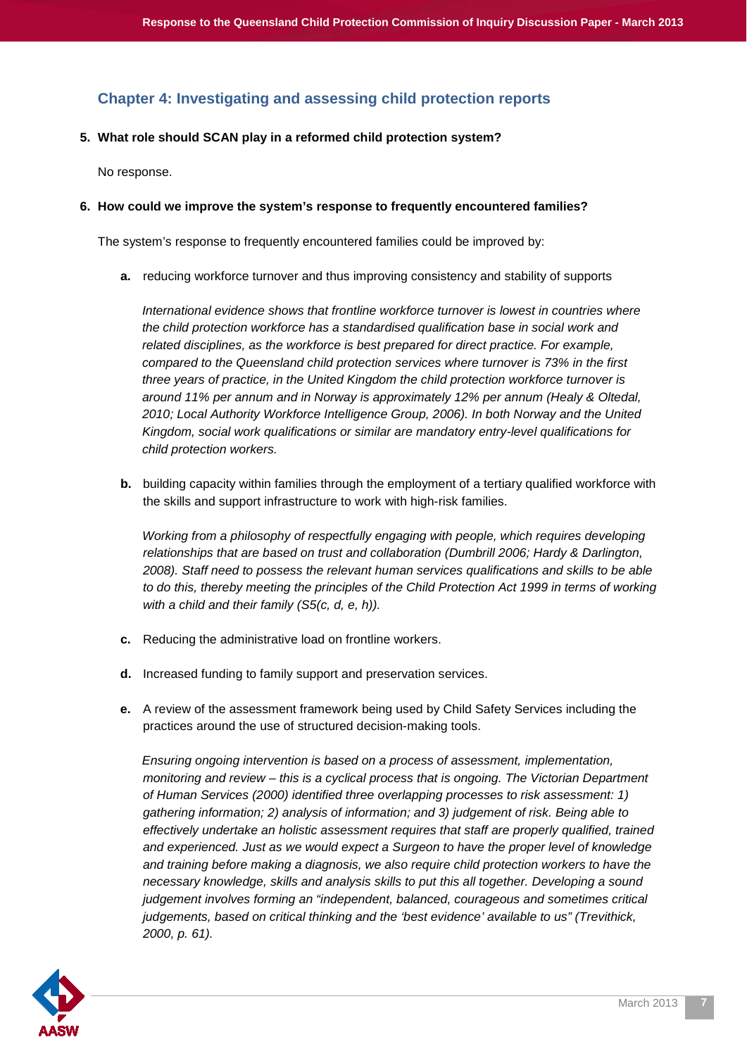## <span id="page-6-0"></span>**Chapter 4: Investigating and assessing child protection reports**

#### **5. What role should SCAN play in a reformed child protection system?**

No response.

#### **6. How could we improve the system's response to frequently encountered families?**

The system's response to frequently encountered families could be improved by:

**a.** reducing workforce turnover and thus improving consistency and stability of supports

*International evidence shows that frontline workforce turnover is lowest in countries where the child protection workforce has a standardised qualification base in social work and related disciplines, as the workforce is best prepared for direct practice. For example, compared to the Queensland child protection services where turnover is 73% in the first three years of practice, in the United Kingdom the child protection workforce turnover is around 11% per annum and in Norway is approximately 12% per annum (Healy & Oltedal, 2010; Local Authority Workforce Intelligence Group, 2006). In both Norway and the United Kingdom, social work qualifications or similar are mandatory entry-level qualifications for child protection workers.*

**b.** building capacity within families through the employment of a tertiary qualified workforce with the skills and support infrastructure to work with high-risk families.

*Working from a philosophy of respectfully engaging with people, which requires developing relationships that are based on trust and collaboration (Dumbrill 2006; Hardy & Darlington, 2008). Staff need to possess the relevant human services qualifications and skills to be able to do this, thereby meeting the principles of the Child Protection Act 1999 in terms of working with a child and their family (S5(c, d, e, h)).*

- **c.** Reducing the administrative load on frontline workers.
- **d.** Increased funding to family support and preservation services.
- **e.** A review of the assessment framework being used by Child Safety Services including the practices around the use of structured decision-making tools.

*Ensuring ongoing intervention is based on a process of assessment, implementation, monitoring and review – this is a cyclical process that is ongoing. The Victorian Department of Human Services (2000) identified three overlapping processes to risk assessment: 1) gathering information; 2) analysis of information; and 3) judgement of risk. Being able to effectively undertake an holistic assessment requires that staff are properly qualified, trained and experienced. Just as we would expect a Surgeon to have the proper level of knowledge and training before making a diagnosis, we also require child protection workers to have the necessary knowledge, skills and analysis skills to put this all together. Developing a sound judgement involves forming an "independent, balanced, courageous and sometimes critical judgements, based on critical thinking and the 'best evidence' available to us" (Trevithick, 2000, p. 61).*

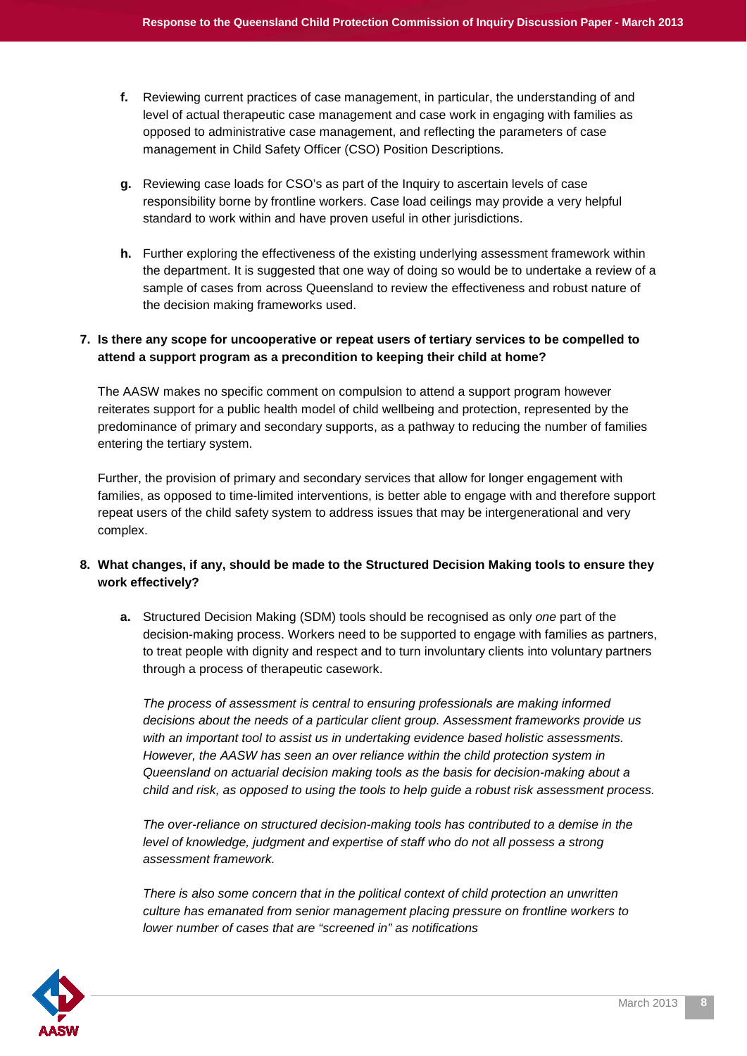- **f.** Reviewing current practices of case management, in particular, the understanding of and level of actual therapeutic case management and case work in engaging with families as opposed to administrative case management, and reflecting the parameters of case management in Child Safety Officer (CSO) Position Descriptions.
- **g.** Reviewing case loads for CSO's as part of the Inquiry to ascertain levels of case responsibility borne by frontline workers. Case load ceilings may provide a very helpful standard to work within and have proven useful in other jurisdictions.
- **h.** Further exploring the effectiveness of the existing underlying assessment framework within the department. It is suggested that one way of doing so would be to undertake a review of a sample of cases from across Queensland to review the effectiveness and robust nature of the decision making frameworks used.

#### **7. Is there any scope for uncooperative or repeat users of tertiary services to be compelled to attend a support program as a precondition to keeping their child at home?**

The AASW makes no specific comment on compulsion to attend a support program however reiterates support for a public health model of child wellbeing and protection, represented by the predominance of primary and secondary supports, as a pathway to reducing the number of families entering the tertiary system.

Further, the provision of primary and secondary services that allow for longer engagement with families, as opposed to time-limited interventions, is better able to engage with and therefore support repeat users of the child safety system to address issues that may be intergenerational and very complex.

#### **8. What changes, if any, should be made to the Structured Decision Making tools to ensure they work effectively?**

**a.** Structured Decision Making (SDM) tools should be recognised as only *one* part of the decision-making process. Workers need to be supported to engage with families as partners, to treat people with dignity and respect and to turn involuntary clients into voluntary partners through a process of therapeutic casework.

*The process of assessment is central to ensuring professionals are making informed decisions about the needs of a particular client group. Assessment frameworks provide us with an important tool to assist us in undertaking evidence based holistic assessments. However, the AASW has seen an over reliance within the child protection system in Queensland on actuarial decision making tools as the basis for decision-making about a child and risk, as opposed to using the tools to help guide a robust risk assessment process.*

*The over-reliance on structured decision-making tools has contributed to a demise in the level of knowledge, judgment and expertise of staff who do not all possess a strong assessment framework.* 

*There is also some concern that in the political context of child protection an unwritten culture has emanated from senior management placing pressure on frontline workers to lower number of cases that are "screened in" as notifications*

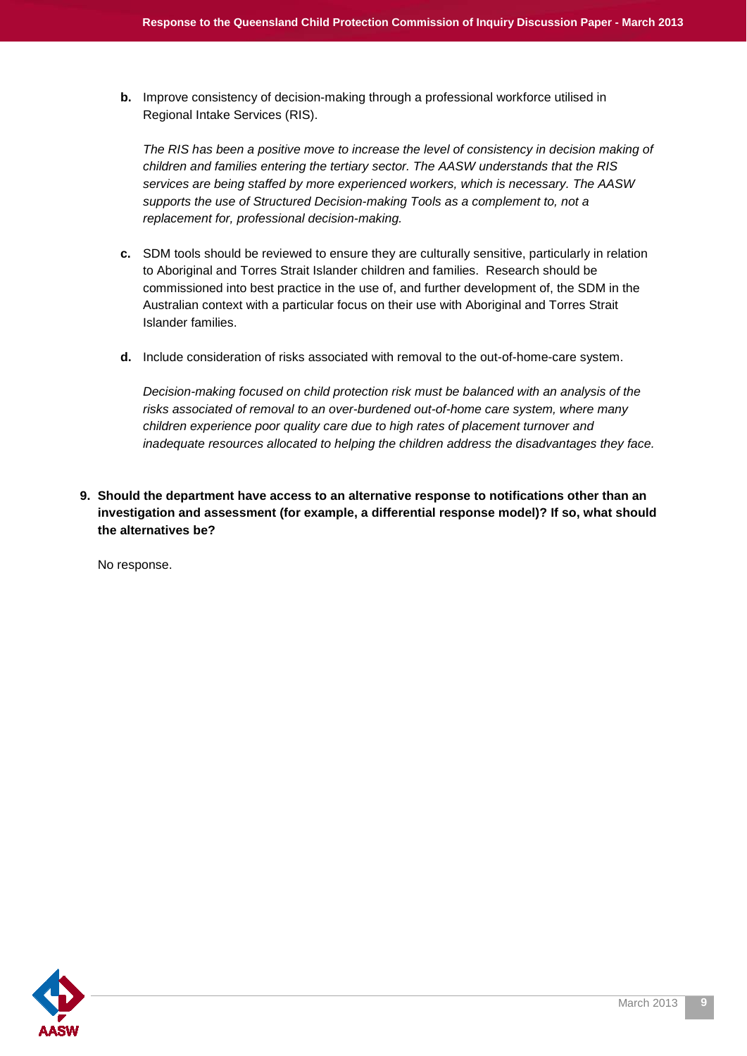**b.** Improve consistency of decision-making through a professional workforce utilised in Regional Intake Services (RIS).

*The RIS has been a positive move to increase the level of consistency in decision making of children and families entering the tertiary sector. The AASW understands that the RIS services are being staffed by more experienced workers, which is necessary. The AASW supports the use of Structured Decision-making Tools as a complement to, not a replacement for, professional decision-making.* 

- **c.** SDM tools should be reviewed to ensure they are culturally sensitive, particularly in relation to Aboriginal and Torres Strait Islander children and families. Research should be commissioned into best practice in the use of, and further development of, the SDM in the Australian context with a particular focus on their use with Aboriginal and Torres Strait Islander families.
- **d.** Include consideration of risks associated with removal to the out-of-home-care system.

*Decision-making focused on child protection risk must be balanced with an analysis of the risks associated of removal to an over-burdened out-of-home care system, where many children experience poor quality care due to high rates of placement turnover and inadequate resources allocated to helping the children address the disadvantages they face.*

**9. Should the department have access to an alternative response to notifications other than an investigation and assessment (for example, a differential response model)? If so, what should the alternatives be?**

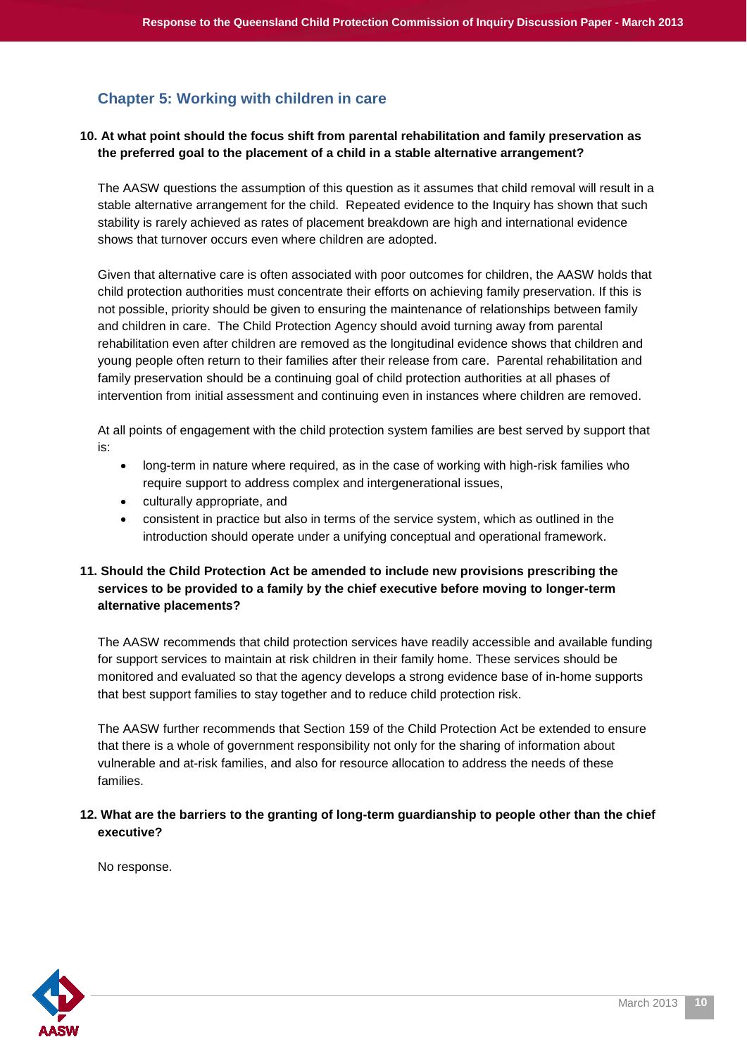## <span id="page-9-0"></span>**Chapter 5: Working with children in care**

#### **10. At what point should the focus shift from parental rehabilitation and family preservation as the preferred goal to the placement of a child in a stable alternative arrangement?**

The AASW questions the assumption of this question as it assumes that child removal will result in a stable alternative arrangement for the child. Repeated evidence to the Inquiry has shown that such stability is rarely achieved as rates of placement breakdown are high and international evidence shows that turnover occurs even where children are adopted.

Given that alternative care is often associated with poor outcomes for children, the AASW holds that child protection authorities must concentrate their efforts on achieving family preservation. If this is not possible, priority should be given to ensuring the maintenance of relationships between family and children in care. The Child Protection Agency should avoid turning away from parental rehabilitation even after children are removed as the longitudinal evidence shows that children and young people often return to their families after their release from care. Parental rehabilitation and family preservation should be a continuing goal of child protection authorities at all phases of intervention from initial assessment and continuing even in instances where children are removed.

At all points of engagement with the child protection system families are best served by support that is:

- long-term in nature where required, as in the case of working with high-risk families who require support to address complex and intergenerational issues,
- culturally appropriate, and
- consistent in practice but also in terms of the service system, which as outlined in the introduction should operate under a unifying conceptual and operational framework.

#### **11. Should the Child Protection Act be amended to include new provisions prescribing the services to be provided to a family by the chief executive before moving to longer-term alternative placements?**

The AASW recommends that child protection services have readily accessible and available funding for support services to maintain at risk children in their family home. These services should be monitored and evaluated so that the agency develops a strong evidence base of in-home supports that best support families to stay together and to reduce child protection risk.

The AASW further recommends that Section 159 of the Child Protection Act be extended to ensure that there is a whole of government responsibility not only for the sharing of information about vulnerable and at-risk families, and also for resource allocation to address the needs of these families.

#### **12. What are the barriers to the granting of long-term guardianship to people other than the chief executive?**

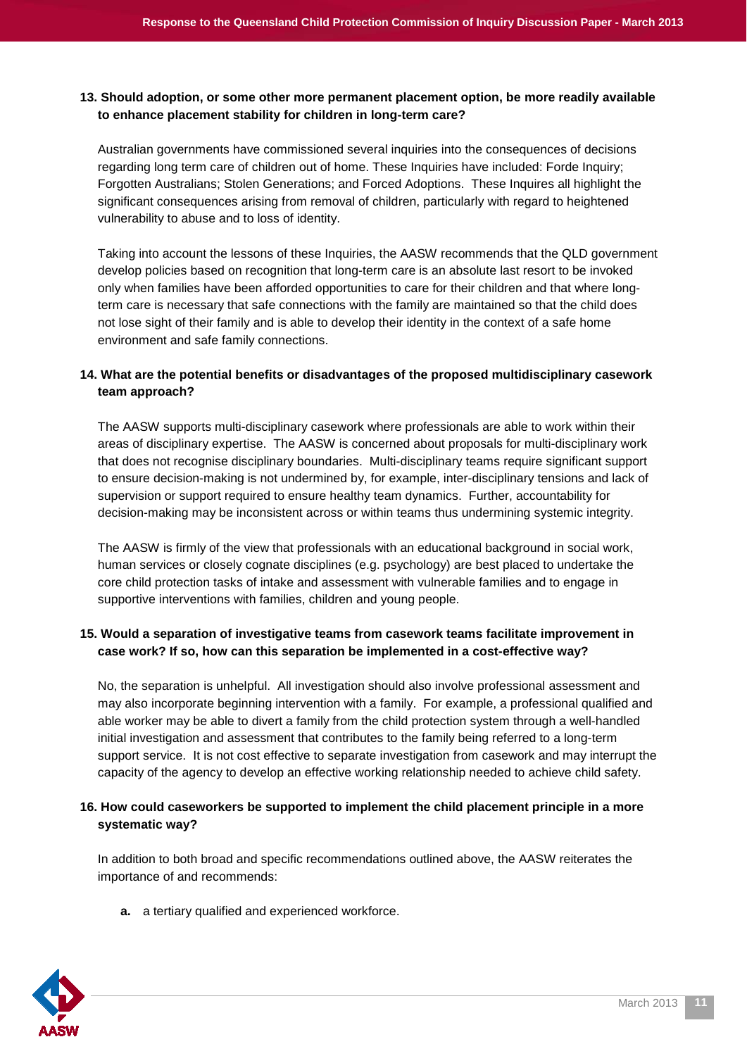#### **13. Should adoption, or some other more permanent placement option, be more readily available to enhance placement stability for children in long-term care?**

Australian governments have commissioned several inquiries into the consequences of decisions regarding long term care of children out of home. These Inquiries have included: Forde Inquiry; Forgotten Australians; Stolen Generations; and Forced Adoptions. These Inquires all highlight the significant consequences arising from removal of children, particularly with regard to heightened vulnerability to abuse and to loss of identity.

Taking into account the lessons of these Inquiries, the AASW recommends that the QLD government develop policies based on recognition that long-term care is an absolute last resort to be invoked only when families have been afforded opportunities to care for their children and that where longterm care is necessary that safe connections with the family are maintained so that the child does not lose sight of their family and is able to develop their identity in the context of a safe home environment and safe family connections.

#### **14. What are the potential benefits or disadvantages of the proposed multidisciplinary casework team approach?**

The AASW supports multi-disciplinary casework where professionals are able to work within their areas of disciplinary expertise. The AASW is concerned about proposals for multi-disciplinary work that does not recognise disciplinary boundaries. Multi-disciplinary teams require significant support to ensure decision-making is not undermined by, for example, inter-disciplinary tensions and lack of supervision or support required to ensure healthy team dynamics. Further, accountability for decision-making may be inconsistent across or within teams thus undermining systemic integrity.

The AASW is firmly of the view that professionals with an educational background in social work, human services or closely cognate disciplines (e.g. psychology) are best placed to undertake the core child protection tasks of intake and assessment with vulnerable families and to engage in supportive interventions with families, children and young people.

#### **15. Would a separation of investigative teams from casework teams facilitate improvement in case work? If so, how can this separation be implemented in a cost-effective way?**

No, the separation is unhelpful. All investigation should also involve professional assessment and may also incorporate beginning intervention with a family. For example, a professional qualified and able worker may be able to divert a family from the child protection system through a well-handled initial investigation and assessment that contributes to the family being referred to a long-term support service. It is not cost effective to separate investigation from casework and may interrupt the capacity of the agency to develop an effective working relationship needed to achieve child safety.

#### **16. How could caseworkers be supported to implement the child placement principle in a more systematic way?**

In addition to both broad and specific recommendations outlined above, the AASW reiterates the importance of and recommends:

**a.** a tertiary qualified and experienced workforce.

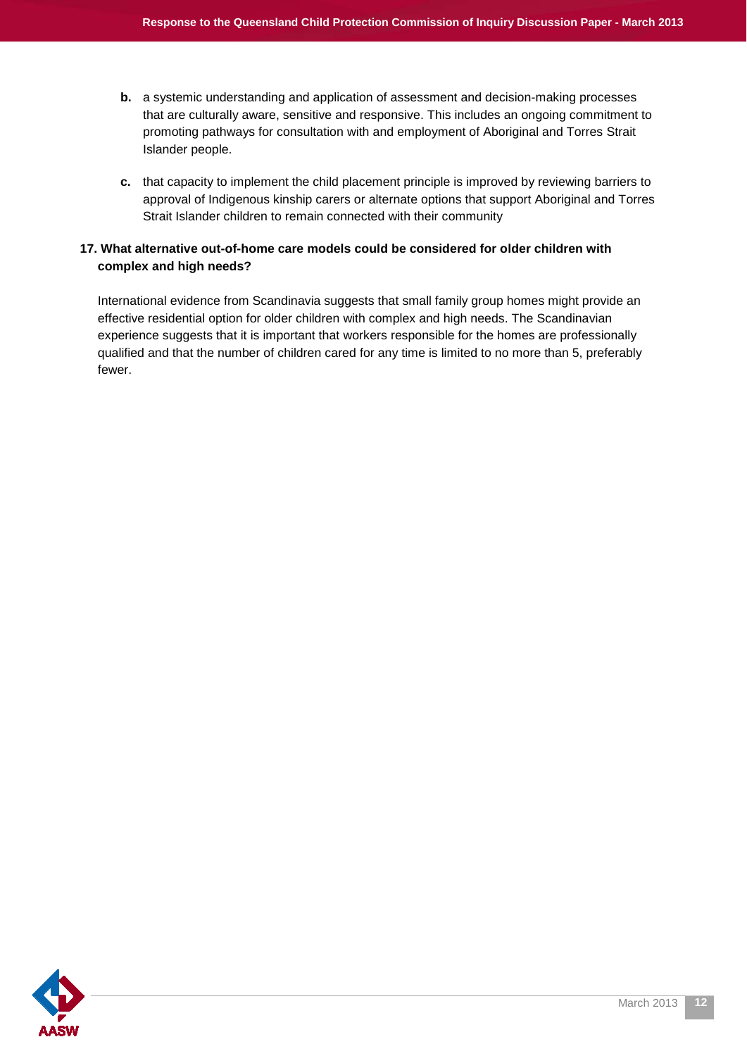- **b.** a systemic understanding and application of assessment and decision-making processes that are culturally aware, sensitive and responsive. This includes an ongoing commitment to promoting pathways for consultation with and employment of Aboriginal and Torres Strait Islander people.
- **c.** that capacity to implement the child placement principle is improved by reviewing barriers to approval of Indigenous kinship carers or alternate options that support Aboriginal and Torres Strait Islander children to remain connected with their community

#### **17. What alternative out-of-home care models could be considered for older children with complex and high needs?**

International evidence from Scandinavia suggests that small family group homes might provide an effective residential option for older children with complex and high needs. The Scandinavian experience suggests that it is important that workers responsible for the homes are professionally qualified and that the number of children cared for any time is limited to no more than 5, preferably fewer.

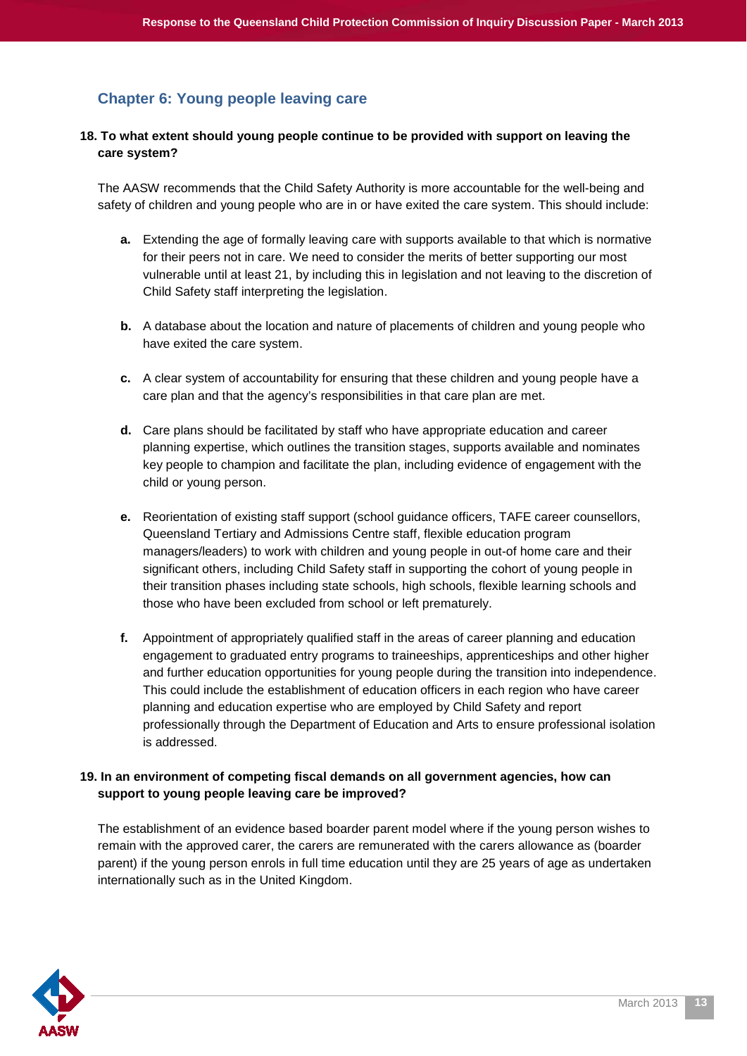## <span id="page-12-0"></span>**Chapter 6: Young people leaving care**

#### **18. To what extent should young people continue to be provided with support on leaving the care system?**

The AASW recommends that the Child Safety Authority is more accountable for the well-being and safety of children and young people who are in or have exited the care system. This should include:

- **a.** Extending the age of formally leaving care with supports available to that which is normative for their peers not in care. We need to consider the merits of better supporting our most vulnerable until at least 21, by including this in legislation and not leaving to the discretion of Child Safety staff interpreting the legislation.
- **b.** A database about the location and nature of placements of children and young people who have exited the care system.
- **c.** A clear system of accountability for ensuring that these children and young people have a care plan and that the agency's responsibilities in that care plan are met.
- **d.** Care plans should be facilitated by staff who have appropriate education and career planning expertise, which outlines the transition stages, supports available and nominates key people to champion and facilitate the plan, including evidence of engagement with the child or young person.
- **e.** Reorientation of existing staff support (school guidance officers, TAFE career counsellors, Queensland Tertiary and Admissions Centre staff, flexible education program managers/leaders) to work with children and young people in out-of home care and their significant others, including Child Safety staff in supporting the cohort of young people in their transition phases including state schools, high schools, flexible learning schools and those who have been excluded from school or left prematurely.
- **f.** Appointment of appropriately qualified staff in the areas of career planning and education engagement to graduated entry programs to traineeships, apprenticeships and other higher and further education opportunities for young people during the transition into independence. This could include the establishment of education officers in each region who have career planning and education expertise who are employed by Child Safety and report professionally through the Department of Education and Arts to ensure professional isolation is addressed.

#### **19. In an environment of competing fiscal demands on all government agencies, how can support to young people leaving care be improved?**

The establishment of an evidence based boarder parent model where if the young person wishes to remain with the approved carer, the carers are remunerated with the carers allowance as (boarder parent) if the young person enrols in full time education until they are 25 years of age as undertaken internationally such as in the United Kingdom.

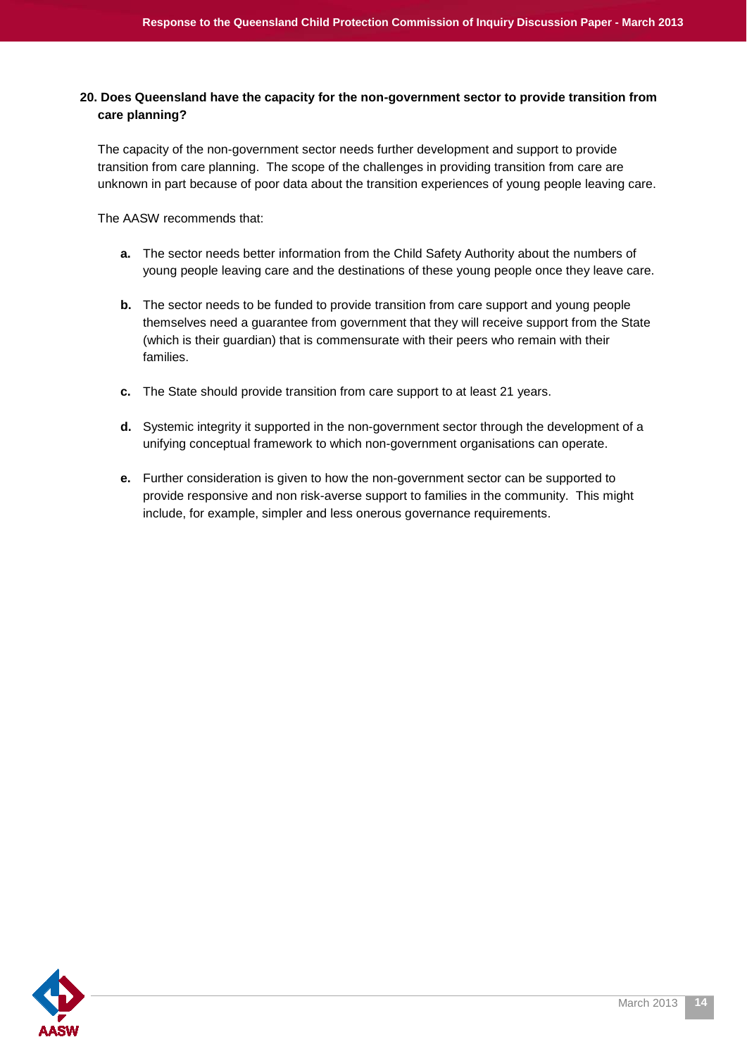#### **20. Does Queensland have the capacity for the non-government sector to provide transition from care planning?**

The capacity of the non-government sector needs further development and support to provide transition from care planning. The scope of the challenges in providing transition from care are unknown in part because of poor data about the transition experiences of young people leaving care.

The AASW recommends that:

- **a.** The sector needs better information from the Child Safety Authority about the numbers of young people leaving care and the destinations of these young people once they leave care.
- **b.** The sector needs to be funded to provide transition from care support and young people themselves need a guarantee from government that they will receive support from the State (which is their guardian) that is commensurate with their peers who remain with their families.
- **c.** The State should provide transition from care support to at least 21 years.
- **d.** Systemic integrity it supported in the non-government sector through the development of a unifying conceptual framework to which non-government organisations can operate.
- **e.** Further consideration is given to how the non-government sector can be supported to provide responsive and non risk-averse support to families in the community. This might include, for example, simpler and less onerous governance requirements.

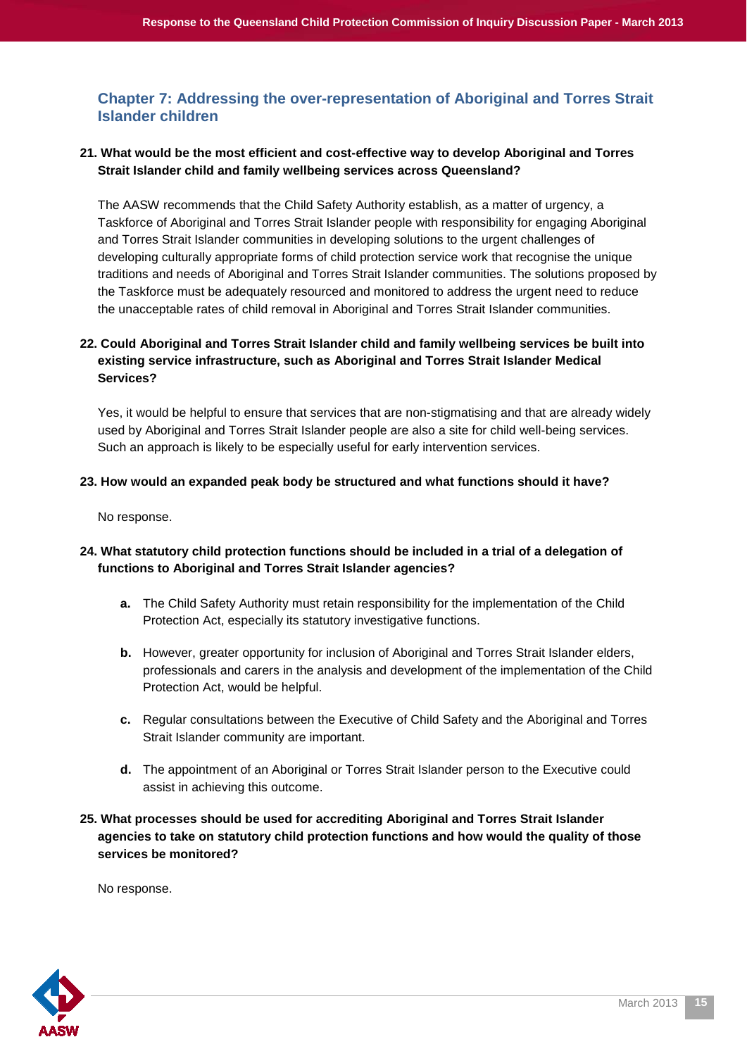#### <span id="page-14-0"></span>**Chapter 7: Addressing the over-representation of Aboriginal and Torres Strait Islander children**

#### **21. What would be the most efficient and cost-effective way to develop Aboriginal and Torres Strait Islander child and family wellbeing services across Queensland?**

The AASW recommends that the Child Safety Authority establish, as a matter of urgency, a Taskforce of Aboriginal and Torres Strait Islander people with responsibility for engaging Aboriginal and Torres Strait Islander communities in developing solutions to the urgent challenges of developing culturally appropriate forms of child protection service work that recognise the unique traditions and needs of Aboriginal and Torres Strait Islander communities. The solutions proposed by the Taskforce must be adequately resourced and monitored to address the urgent need to reduce the unacceptable rates of child removal in Aboriginal and Torres Strait Islander communities.

#### **22. Could Aboriginal and Torres Strait Islander child and family wellbeing services be built into existing service infrastructure, such as Aboriginal and Torres Strait Islander Medical Services?**

Yes, it would be helpful to ensure that services that are non-stigmatising and that are already widely used by Aboriginal and Torres Strait Islander people are also a site for child well-being services. Such an approach is likely to be especially useful for early intervention services.

#### **23. How would an expanded peak body be structured and what functions should it have?**

No response.

#### **24. What statutory child protection functions should be included in a trial of a delegation of functions to Aboriginal and Torres Strait Islander agencies?**

- **a.** The Child Safety Authority must retain responsibility for the implementation of the Child Protection Act, especially its statutory investigative functions.
- **b.** However, greater opportunity for inclusion of Aboriginal and Torres Strait Islander elders, professionals and carers in the analysis and development of the implementation of the Child Protection Act, would be helpful.
- **c.** Regular consultations between the Executive of Child Safety and the Aboriginal and Torres Strait Islander community are important.
- **d.** The appointment of an Aboriginal or Torres Strait Islander person to the Executive could assist in achieving this outcome.
- **25. What processes should be used for accrediting Aboriginal and Torres Strait Islander agencies to take on statutory child protection functions and how would the quality of those services be monitored?**

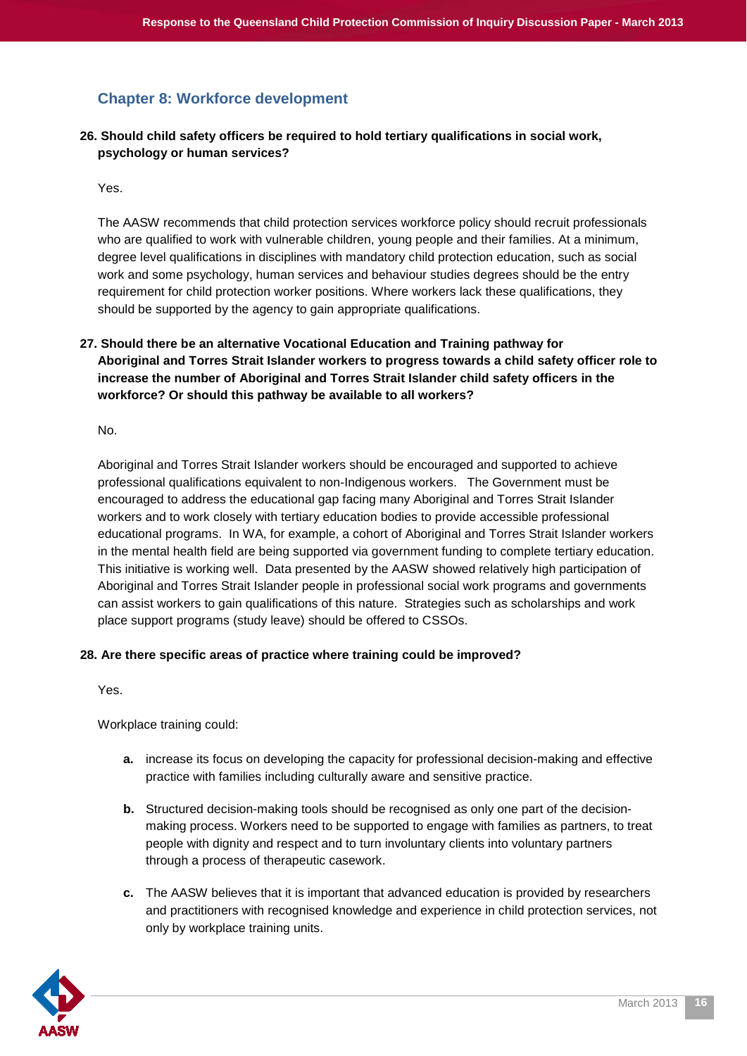## <span id="page-15-0"></span>**Chapter 8: Workforce development**

#### **26. Should child safety officers be required to hold tertiary qualifications in social work, psychology or human services?**

Yes.

The AASW recommends that child protection services workforce policy should recruit professionals who are qualified to work with vulnerable children, young people and their families. At a minimum, degree level qualifications in disciplines with mandatory child protection education, such as social work and some psychology, human services and behaviour studies degrees should be the entry requirement for child protection worker positions. Where workers lack these qualifications, they should be supported by the agency to gain appropriate qualifications.

#### **27. Should there be an alternative Vocational Education and Training pathway for Aboriginal and Torres Strait Islander workers to progress towards a child safety officer role to increase the number of Aboriginal and Torres Strait Islander child safety officers in the workforce? Or should this pathway be available to all workers?**

No.

Aboriginal and Torres Strait Islander workers should be encouraged and supported to achieve professional qualifications equivalent to non-Indigenous workers. The Government must be encouraged to address the educational gap facing many Aboriginal and Torres Strait Islander workers and to work closely with tertiary education bodies to provide accessible professional educational programs. In WA, for example, a cohort of Aboriginal and Torres Strait Islander workers in the mental health field are being supported via government funding to complete tertiary education. This initiative is working well. Data presented by the AASW showed relatively high participation of Aboriginal and Torres Strait Islander people in professional social work programs and governments can assist workers to gain qualifications of this nature. Strategies such as scholarships and work place support programs (study leave) should be offered to CSSOs.

#### **28. Are there specific areas of practice where training could be improved?**

Yes.

Workplace training could:

- **a.** increase its focus on developing the capacity for professional decision-making and effective practice with families including culturally aware and sensitive practice.
- **b.** Structured decision-making tools should be recognised as only one part of the decisionmaking process. Workers need to be supported to engage with families as partners, to treat people with dignity and respect and to turn involuntary clients into voluntary partners through a process of therapeutic casework.
- **c.** The AASW believes that it is important that advanced education is provided by researchers and practitioners with recognised knowledge and experience in child protection services, not only by workplace training units.

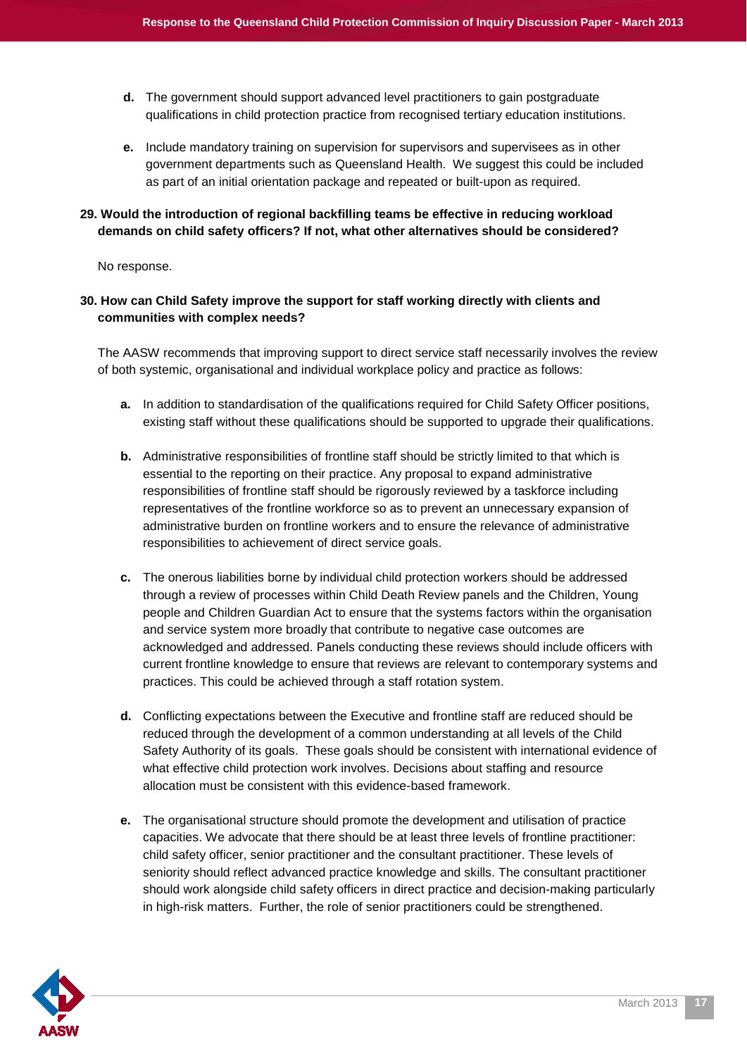- **d.** The government should support advanced level practitioners to gain postgraduate qualifications in child protection practice from recognised tertiary education institutions.
- **e.** Include mandatory training on supervision for supervisors and supervisees as in other government departments such as Queensland Health. We suggest this could be included as part of an initial orientation package and repeated or built-upon as required.

#### **29. Would the introduction of regional backfilling teams be effective in reducing workload demands on child safety officers? If not, what other alternatives should be considered?**

No response.

#### **30. How can Child Safety improve the support for staff working directly with clients and communities with complex needs?**

The AASW recommends that improving support to direct service staff necessarily involves the review of both systemic, organisational and individual workplace policy and practice as follows:

- **a.** In addition to standardisation of the qualifications required for Child Safety Officer positions, existing staff without these qualifications should be supported to upgrade their qualifications.
- **b.** Administrative responsibilities of frontline staff should be strictly limited to that which is essential to the reporting on their practice. Any proposal to expand administrative responsibilities of frontline staff should be rigorously reviewed by a taskforce including representatives of the frontline workforce so as to prevent an unnecessary expansion of administrative burden on frontline workers and to ensure the relevance of administrative responsibilities to achievement of direct service goals.
- **c.** The onerous liabilities borne by individual child protection workers should be addressed through a review of processes within Child Death Review panels and the Children, Young people and Children Guardian Act to ensure that the systems factors within the organisation and service system more broadly that contribute to negative case outcomes are acknowledged and addressed. Panels conducting these reviews should include officers with current frontline knowledge to ensure that reviews are relevant to contemporary systems and practices. This could be achieved through a staff rotation system.
- **d.** Conflicting expectations between the Executive and frontline staff are reduced should be reduced through the development of a common understanding at all levels of the Child Safety Authority of its goals. These goals should be consistent with international evidence of what effective child protection work involves. Decisions about staffing and resource allocation must be consistent with this evidence-based framework.
- **e.** The organisational structure should promote the development and utilisation of practice capacities. We advocate that there should be at least three levels of frontline practitioner: child safety officer, senior practitioner and the consultant practitioner. These levels of seniority should reflect advanced practice knowledge and skills. The consultant practitioner should work alongside child safety officers in direct practice and decision-making particularly in high-risk matters. Further, the role of senior practitioners could be strengthened.

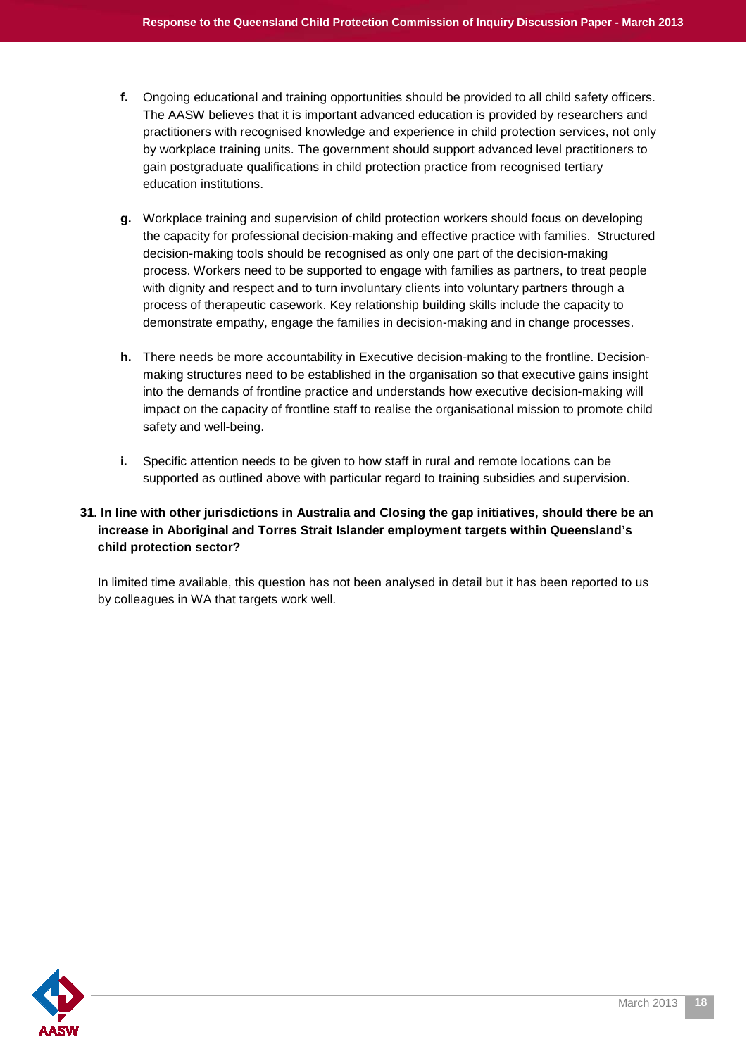- **f.** Ongoing educational and training opportunities should be provided to all child safety officers. The AASW believes that it is important advanced education is provided by researchers and practitioners with recognised knowledge and experience in child protection services, not only by workplace training units. The government should support advanced level practitioners to gain postgraduate qualifications in child protection practice from recognised tertiary education institutions.
- **g.** Workplace training and supervision of child protection workers should focus on developing the capacity for professional decision-making and effective practice with families. Structured decision-making tools should be recognised as only one part of the decision-making process. Workers need to be supported to engage with families as partners, to treat people with dignity and respect and to turn involuntary clients into voluntary partners through a process of therapeutic casework. Key relationship building skills include the capacity to demonstrate empathy, engage the families in decision-making and in change processes.
- **h.** There needs be more accountability in Executive decision-making to the frontline. Decisionmaking structures need to be established in the organisation so that executive gains insight into the demands of frontline practice and understands how executive decision-making will impact on the capacity of frontline staff to realise the organisational mission to promote child safety and well-being.
- **i.** Specific attention needs to be given to how staff in rural and remote locations can be supported as outlined above with particular regard to training subsidies and supervision.

#### **31. In line with other jurisdictions in Australia and Closing the gap initiatives, should there be an increase in Aboriginal and Torres Strait Islander employment targets within Queensland's child protection sector?**

In limited time available, this question has not been analysed in detail but it has been reported to us by colleagues in WA that targets work well.

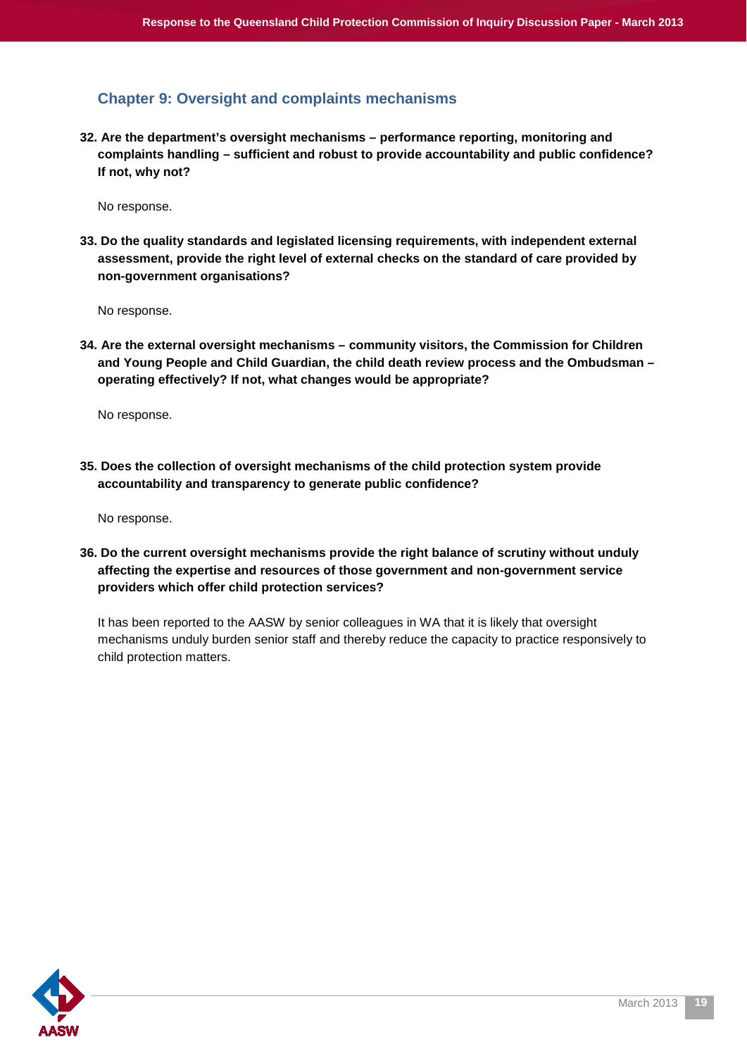## <span id="page-18-0"></span>**Chapter 9: Oversight and complaints mechanisms**

**32. Are the department's oversight mechanisms – performance reporting, monitoring and complaints handling – sufficient and robust to provide accountability and public confidence? If not, why not?**

No response.

**33. Do the quality standards and legislated licensing requirements, with independent external assessment, provide the right level of external checks on the standard of care provided by non-government organisations?**

No response.

**34. Are the external oversight mechanisms – community visitors, the Commission for Children and Young People and Child Guardian, the child death review process and the Ombudsman – operating effectively? If not, what changes would be appropriate?**

No response.

**35. Does the collection of oversight mechanisms of the child protection system provide accountability and transparency to generate public confidence?**

No response.

**36. Do the current oversight mechanisms provide the right balance of scrutiny without unduly affecting the expertise and resources of those government and non-government service providers which offer child protection services?**

It has been reported to the AASW by senior colleagues in WA that it is likely that oversight mechanisms unduly burden senior staff and thereby reduce the capacity to practice responsively to child protection matters.

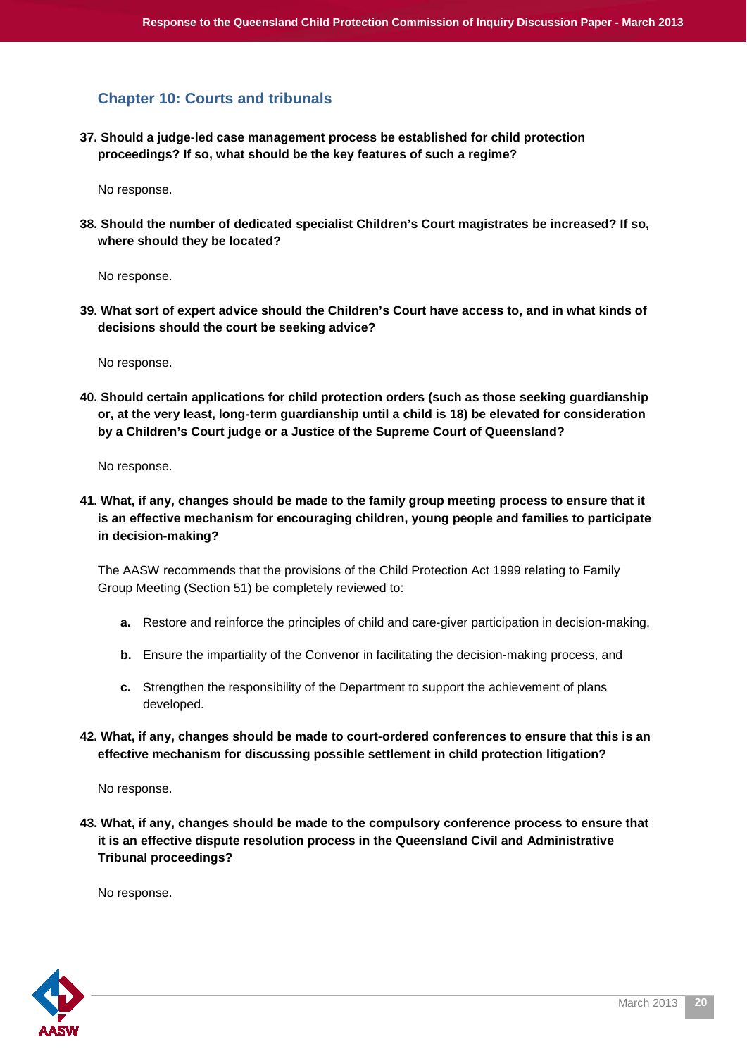#### <span id="page-19-0"></span>**Chapter 10: Courts and tribunals**

**37. Should a judge-led case management process be established for child protection proceedings? If so, what should be the key features of such a regime?**

No response.

**38. Should the number of dedicated specialist Children's Court magistrates be increased? If so, where should they be located?**

No response.

**39. What sort of expert advice should the Children's Court have access to, and in what kinds of decisions should the court be seeking advice?**

No response.

**40. Should certain applications for child protection orders (such as those seeking guardianship or, at the very least, long-term guardianship until a child is 18) be elevated for consideration by a Children's Court judge or a Justice of the Supreme Court of Queensland?**

No response.

**41. What, if any, changes should be made to the family group meeting process to ensure that it is an effective mechanism for encouraging children, young people and families to participate in decision-making?**

The AASW recommends that the provisions of the Child Protection Act 1999 relating to Family Group Meeting (Section 51) be completely reviewed to:

- **a.** Restore and reinforce the principles of child and care-giver participation in decision-making,
- **b.** Ensure the impartiality of the Convenor in facilitating the decision-making process, and
- **c.** Strengthen the responsibility of the Department to support the achievement of plans developed.
- **42. What, if any, changes should be made to court-ordered conferences to ensure that this is an effective mechanism for discussing possible settlement in child protection litigation?**

No response.

**43. What, if any, changes should be made to the compulsory conference process to ensure that it is an effective dispute resolution process in the Queensland Civil and Administrative Tribunal proceedings?**

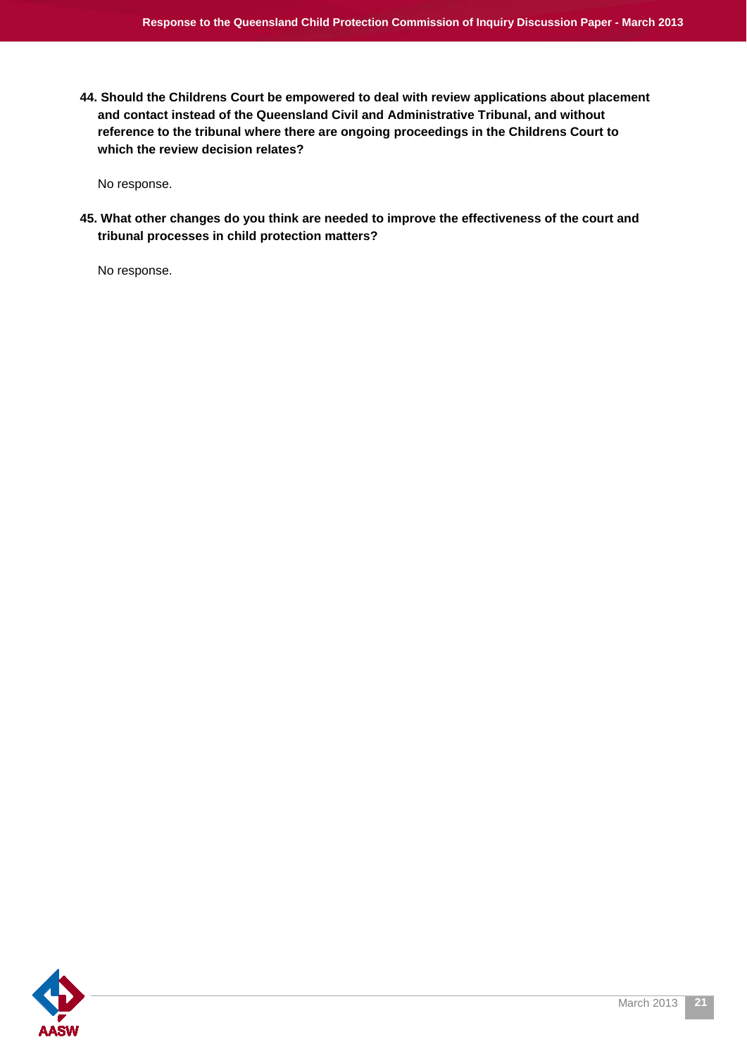**44. Should the Childrens Court be empowered to deal with review applications about placement and contact instead of the Queensland Civil and Administrative Tribunal, and without reference to the tribunal where there are ongoing proceedings in the Childrens Court to which the review decision relates?**

No response.

**45. What other changes do you think are needed to improve the effectiveness of the court and tribunal processes in child protection matters?**

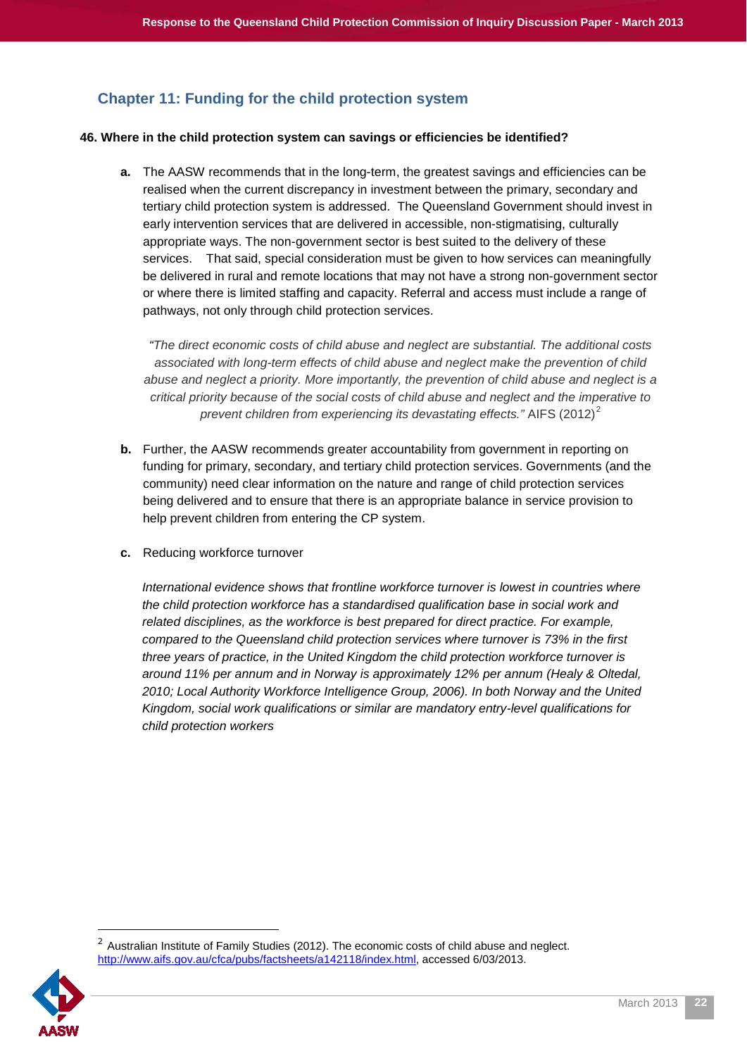## <span id="page-21-0"></span>**Chapter 11: Funding for the child protection system**

#### **46. Where in the child protection system can savings or efficiencies be identified?**

**a.** The AASW recommends that in the long-term, the greatest savings and efficiencies can be realised when the current discrepancy in investment between the primary, secondary and tertiary child protection system is addressed. The Queensland Government should invest in early intervention services that are delivered in accessible, non-stigmatising, culturally appropriate ways. The non-government sector is best suited to the delivery of these services. That said, special consideration must be given to how services can meaningfully be delivered in rural and remote locations that may not have a strong non-government sector or where there is limited staffing and capacity. Referral and access must include a range of pathways, not only through child protection services.

*"The direct economic costs of child abuse and neglect are substantial. The additional costs associated with long-term effects of child abuse and neglect make the prevention of child abuse and neglect a priority. More importantly, the prevention of child abuse and neglect is a critical priority because of the social costs of child abuse and neglect and the imperative to prevent children from experiencing its devastating effects."* AIFS ([2](#page-21-1)012)<sup>2</sup>

- **b.** Further, the AASW recommends greater accountability from government in reporting on funding for primary, secondary, and tertiary child protection services. Governments (and the community) need clear information on the nature and range of child protection services being delivered and to ensure that there is an appropriate balance in service provision to help prevent children from entering the CP system.
- **c.** Reducing workforce turnover

*International evidence shows that frontline workforce turnover is lowest in countries where the child protection workforce has a standardised qualification base in social work and related disciplines, as the workforce is best prepared for direct practice. For example, compared to the Queensland child protection services where turnover is 73% in the first three years of practice, in the United Kingdom the child protection workforce turnover is around 11% per annum and in Norway is approximately 12% per annum (Healy & Oltedal, 2010; Local Authority Workforce Intelligence Group, 2006). In both Norway and the United Kingdom, social work qualifications or similar are mandatory entry-level qualifications for child protection workers*

<span id="page-21-1"></span> $2$  Australian Institute of Family Studies (2012). The economic costs of child abuse and neglect. [http://www.aifs.gov.au/cfca/pubs/factsheets/a142118/index.html,](http://www.aifs.gov.au/cfca/pubs/factsheets/a142118/index.html) accessed 6/03/2013.



l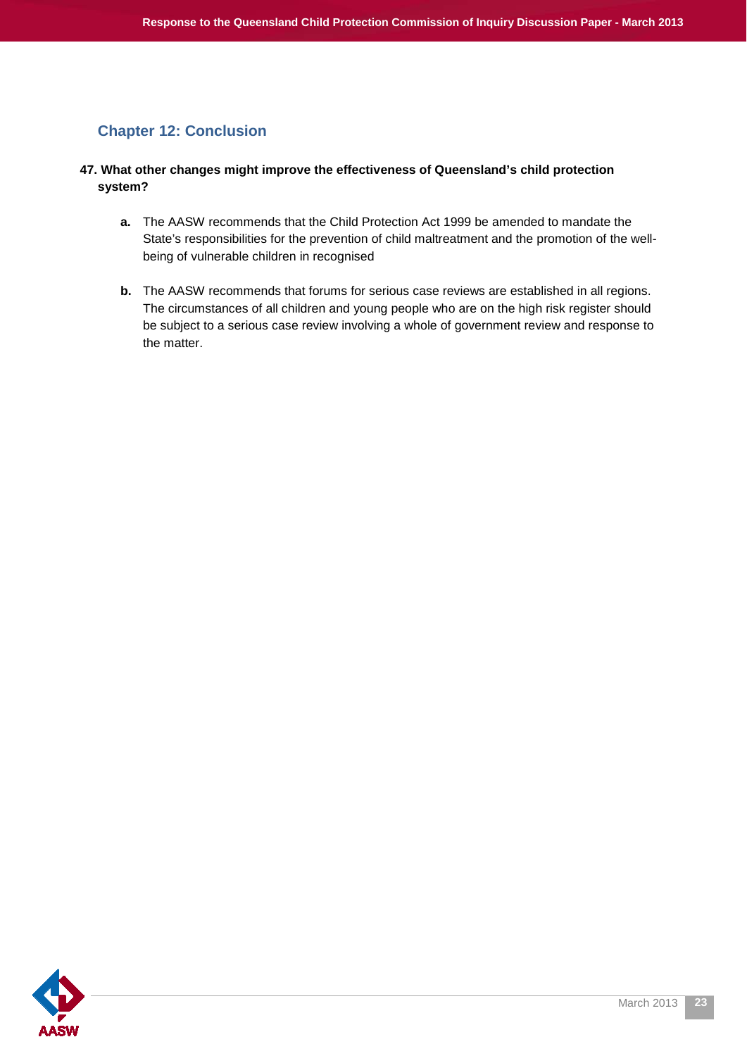## <span id="page-22-0"></span>**Chapter 12: Conclusion**

#### **47. What other changes might improve the effectiveness of Queensland's child protection system?**

- **a.** The AASW recommends that the Child Protection Act 1999 be amended to mandate the State's responsibilities for the prevention of child maltreatment and the promotion of the wellbeing of vulnerable children in recognised
- **b.** The AASW recommends that forums for serious case reviews are established in all regions. The circumstances of all children and young people who are on the high risk register should be subject to a serious case review involving a whole of government review and response to the matter.